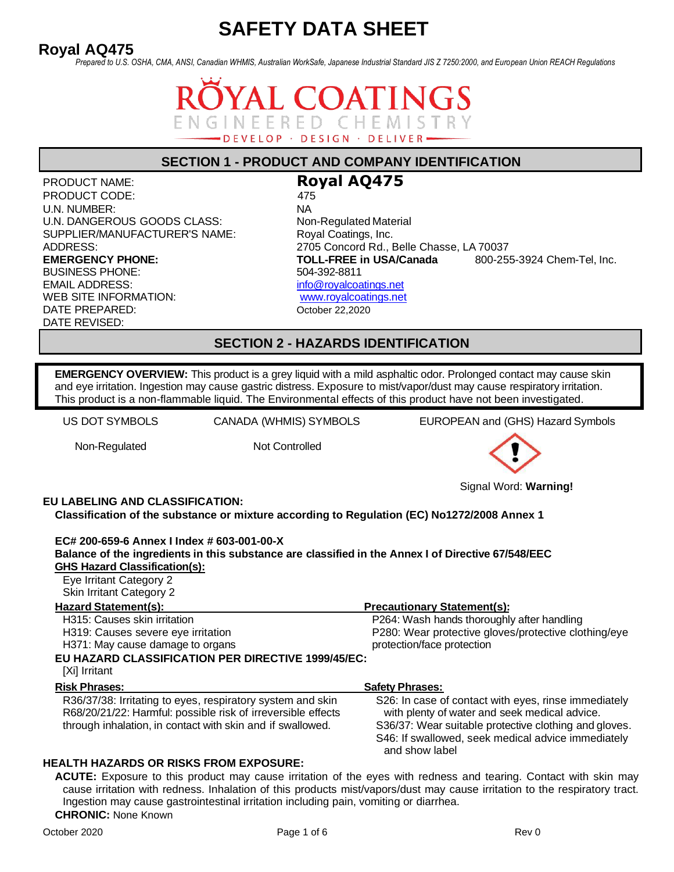# **Royal AQ475**

*Prepared to U.S. OSHA, CMA, ANSI, Canadian WHMIS, Australian WorkSafe, Japanese Industrial Standard JIS Z 7250:2000, and European Union REACH Regulations*

## **AL COATINGS** INEERED CHEMIST DEVELOP · DESIGN · DELIVER

## **SECTION 1 - PRODUCT AND COMPANY IDENTIFICATION**

PRODUCT NAME: **Royal AQ475** PRODUCT CODE: 475 U.N. NUMBER: NA U.N. DANGEROUS GOODS CLASS: Non-Regulated Material SUPPLIER/MANUFACTURER'S NAME: Royal Coatings, Inc. BUSINESS PHONE: 504-392-8811 EMAIL ADDRESS: [info@royalcoatings.net](mailto:info@royalcoatings.net) WEB SITE INFORMATION: [www.royalcoatings.net](http://www.royalcoatings.net/) DATE PREPARED: October 22,2020 DATE REVISED:

ADDRESS: 2705 Concord Rd., Belle Chasse, LA 70037 **EMERGENCY PHONE: TOLL-FREE in USA/Canada** 800-255-3924 Chem-Tel, Inc.

**SECTION 2 - HAZARDS IDENTIFICATION**

**EMERGENCY OVERVIEW:** This product is a grey liquid with a mild asphaltic odor. Prolonged contact may cause skin and eye irritation. Ingestion may cause gastric distress. Exposure to mist/vapor/dust may cause respiratory irritation. This product is a non-flammable liquid. The Environmental effects of this product have not been investigated.

US DOT SYMBOLS CANADA (WHMIS) SYMBOLS EUROPEAN and (GHS) Hazard Symbols

Non-Regulated Not Controlled



Signal Word: **Warning!**

**EU LABELING AND CLASSIFICATION:**

**Classification of the substance or mixture according to Regulation (EC) No1272/2008 Annex 1**

#### **EC# 200-659-6 Annex I Index # 603-001-00-X**

| Balance of the ingredients in this substance are classified in the Annex I of Directive 67/548/EEC                                                                                       |                                                                                                                               |
|------------------------------------------------------------------------------------------------------------------------------------------------------------------------------------------|-------------------------------------------------------------------------------------------------------------------------------|
| <b>GHS Hazard Classification(s):</b>                                                                                                                                                     |                                                                                                                               |
| Eye Irritant Category 2                                                                                                                                                                  |                                                                                                                               |
| <b>Skin Irritant Category 2</b>                                                                                                                                                          |                                                                                                                               |
| <b>Hazard Statement(s):</b>                                                                                                                                                              | <b>Precautionary Statement(s):</b>                                                                                            |
| H315: Causes skin irritation                                                                                                                                                             | P264: Wash hands thoroughly after handling                                                                                    |
| H319: Causes severe eye irritation                                                                                                                                                       | P280: Wear protective gloves/protective clothing/eye                                                                          |
| H371: May cause damage to organs                                                                                                                                                         | protection/face protection                                                                                                    |
| EU HAZARD CLASSIFICATION PER DIRECTIVE 1999/45/EC:<br>[Xi] Irritant                                                                                                                      |                                                                                                                               |
| <b>Risk Phrases:</b>                                                                                                                                                                     | <b>Safety Phrases:</b>                                                                                                        |
| R36/37/38: Irritating to eyes, respiratory system and skin<br>R68/20/21/22: Harmful: possible risk of irreversible effects<br>through inhalation, in contact with skin and if swallowed. | S26: In case of contact with eyes, rinse immediately<br>with plenty of water and seek medical advice.                         |
|                                                                                                                                                                                          | S36/37: Wear suitable protective clothing and gloves.<br>S46: If swallowed, seek medical advice immediately<br>and show label |

#### **HEALTH HAZARDS OR RISKS FROM EXPOSURE:**

**ACUTE:** Exposure to this product may cause irritation of the eyes with redness and tearing. Contact with skin may cause irritation with redness. Inhalation of this products mist/vapors/dust may cause irritation to the respiratory tract. Ingestion may cause gastrointestinal irritation including pain, vomiting or diarrhea.

**CHRONIC:** None Known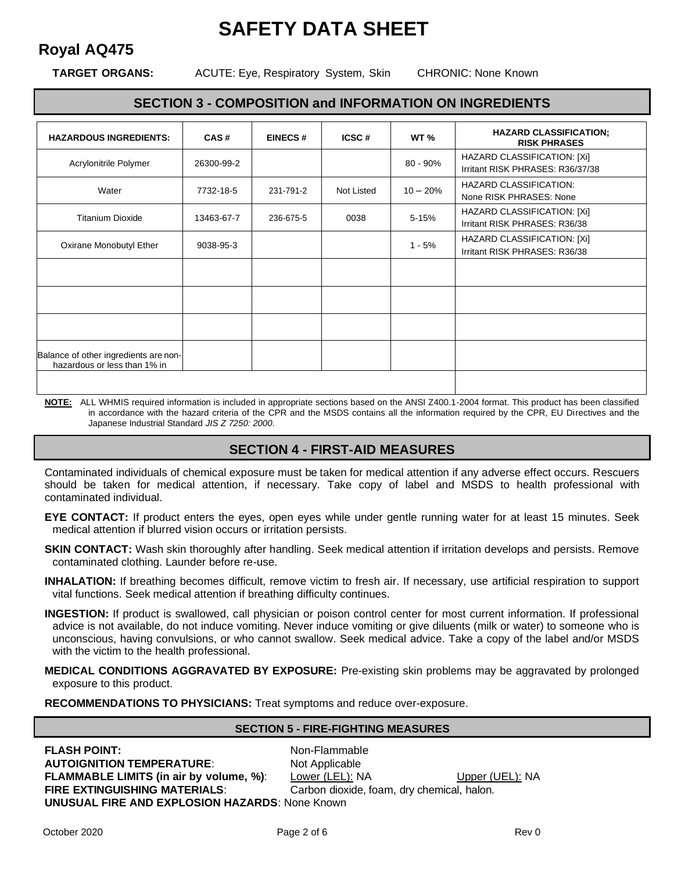# **Royal AQ475**

**TARGET ORGANS:** ACUTE: Eye, Respiratory System, Skin CHRONIC: None Known

### **SECTION 3 - COMPOSITION and INFORMATION ON INGREDIENTS**

| <b>HAZARDOUS INGREDIENTS:</b>                                         | CAS#       | <b>EINECS#</b> | ICSC#      | WT <sub>%</sub> | <b>HAZARD CLASSIFICATION:</b><br><b>RISK PHRASES</b>            |
|-----------------------------------------------------------------------|------------|----------------|------------|-----------------|-----------------------------------------------------------------|
| Acrylonitrile Polymer                                                 | 26300-99-2 |                |            | 80 - 90%        | HAZARD CLASSIFICATION: [Xi]<br>Irritant RISK PHRASES: R36/37/38 |
| Water                                                                 | 7732-18-5  | 231-791-2      | Not Listed | $10 - 20%$      | <b>HAZARD CLASSIFICATION:</b><br>None RISK PHRASES: None        |
| <b>Titanium Dioxide</b>                                               | 13463-67-7 | 236-675-5      | 0038       | 5-15%           | HAZARD CLASSIFICATION: [Xi]<br>Irritant RISK PHRASES: R36/38    |
| Oxirane Monobutyl Ether                                               | 9038-95-3  |                |            | $1 - 5%$        | HAZARD CLASSIFICATION: [Xi]<br>Irritant RISK PHRASES: R36/38    |
|                                                                       |            |                |            |                 |                                                                 |
|                                                                       |            |                |            |                 |                                                                 |
|                                                                       |            |                |            |                 |                                                                 |
| Balance of other ingredients are non-<br>hazardous or less than 1% in |            |                |            |                 |                                                                 |
|                                                                       |            |                |            |                 |                                                                 |

**NOTE:** ALL WHMIS required information is included in appropriate sections based on the ANSI Z400.1-2004 format. This product has been classified in accordance with the hazard criteria of the CPR and the MSDS contains all the information required by the CPR, EU Directives and the Japanese Industrial Standard *JIS Z 7250: 2000*.

## **SECTION 4 - FIRST-AID MEASURES**

Contaminated individuals of chemical exposure must be taken for medical attention if any adverse effect occurs. Rescuers should be taken for medical attention, if necessary. Take copy of label and MSDS to health professional with contaminated individual.

- **EYE CONTACT:** If product enters the eyes, open eyes while under gentle running water for at least 15 minutes. Seek medical attention if blurred vision occurs or irritation persists.
- **SKIN CONTACT:** Wash skin thoroughly after handling. Seek medical attention if irritation develops and persists. Remove contaminated clothing. Launder before re-use.
- **INHALATION:** If breathing becomes difficult, remove victim to fresh air. If necessary, use artificial respiration to support vital functions. Seek medical attention if breathing difficulty continues.
- **INGESTION:** If product is swallowed, call physician or poison control center for most current information. If professional advice is not available, do not induce vomiting. Never induce vomiting or give diluents (milk or water) to someone who is unconscious, having convulsions, or who cannot swallow. Seek medical advice. Take a copy of the label and/or MSDS with the victim to the health professional.
- **MEDICAL CONDITIONS AGGRAVATED BY EXPOSURE:** Pre-existing skin problems may be aggravated by prolonged exposure to this product.

**RECOMMENDATIONS TO PHYSICIANS:** Treat symptoms and reduce over-exposure.

#### **SECTION 5 - FIRE-FIGHTING MEASURES**

**FLASH POINT:** Non-Flammable **AUTOIGNITION TEMPERATURE:** Not Applicable **UNUSUAL FIRE AND EXPLOSION HAZARDS**: None Known

**FLAMMABLE LIMITS (in air by volume, %)**: Lower (LEL): NA Upper (UEL): NA **FIRE EXTINGUISHING MATERIALS**: Carbon dioxide, foam, dry chemical, halon.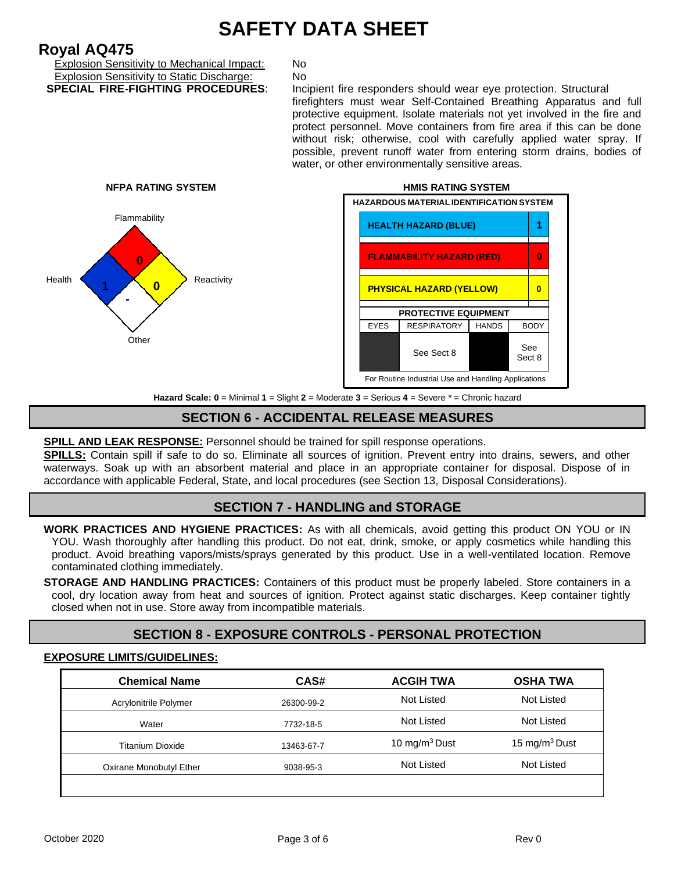# **Royal AQ475**

Explosion Sensitivity to Mechanical Impact: No Explosion Sensitivity to Static Discharge: No<br>**SPECIAL FIRE-FIGHTING PROCEDURES**: Inc

Incipient fire responders should wear eye protection. Structural firefighters must wear Self-Contained Breathing Apparatus and full protective equipment. Isolate materials not yet involved in the fire and protect personnel. Move containers from fire area if this can be done without risk; otherwise, cool with carefully applied water spray. If possible, prevent runoff water from entering storm drains, bodies of water, or other environmentally sensitive areas.





**Hazard Scale: 0** = Minimal **1** = Slight **2** = Moderate **3** = Serious **4** = Severe \* = Chronic hazard

## **SECTION 6 - ACCIDENTAL RELEASE MEASURES**

#### **SPILL AND LEAK RESPONSE:** Personnel should be trained for spill response operations.

**SPILLS:** Contain spill if safe to do so. Eliminate all sources of ignition. Prevent entry into drains, sewers, and other waterways. Soak up with an absorbent material and place in an appropriate container for disposal. Dispose of in accordance with applicable Federal, State, and local procedures (see Section 13, Disposal Considerations).

#### **SECTION 7 - HANDLING and STORAGE**

**WORK PRACTICES AND HYGIENE PRACTICES:** As with all chemicals, avoid getting this product ON YOU or IN YOU. Wash thoroughly after handling this product. Do not eat, drink, smoke, or apply cosmetics while handling this product. Avoid breathing vapors/mists/sprays generated by this product. Use in a well-ventilated location. Remove contaminated clothing immediately.

**STORAGE AND HANDLING PRACTICES:** Containers of this product must be properly labeled. Store containers in a cool, dry location away from heat and sources of ignition. Protect against static discharges. Keep container tightly closed when not in use. Store away from incompatible materials.

## **SECTION 8 - EXPOSURE CONTROLS - PERSONAL PROTECTION**

#### **EXPOSURE LIMITS/GUIDELINES:**

| <b>Chemical Name</b>    | CAS#       | <b>ACGIH TWA</b> | <b>OSHA TWA</b>  |
|-------------------------|------------|------------------|------------------|
| Acrylonitrile Polymer   | 26300-99-2 | Not Listed       | Not Listed       |
| Water                   | 7732-18-5  | Not Listed       | Not Listed       |
| <b>Titanium Dioxide</b> | 13463-67-7 | 10 mg/m $3$ Dust | 15 mg/m $3$ Dust |
| Oxirane Monobutyl Ether | 9038-95-3  | Not Listed       | Not Listed       |
|                         |            |                  |                  |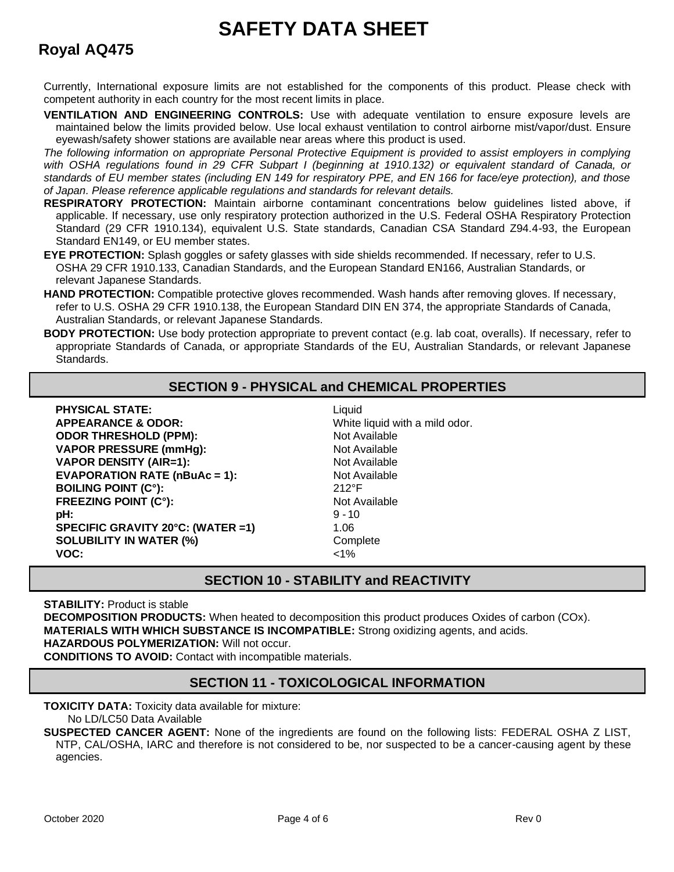# **Royal AQ475**

Currently, International exposure limits are not established for the components of this product. Please check with competent authority in each country for the most recent limits in place.

**VENTILATION AND ENGINEERING CONTROLS:** Use with adequate ventilation to ensure exposure levels are maintained below the limits provided below. Use local exhaust ventilation to control airborne mist/vapor/dust. Ensure eyewash/safety shower stations are available near areas where this product is used.

*The following information on appropriate Personal Protective Equipment is provided to assist employers in complying with OSHA regulations found in 29 CFR Subpart I (beginning at 1910.132) or equivalent standard of Canada, or standards of EU member states (including EN 149 for respiratory PPE, and EN 166 for face/eye protection), and those of Japan. Please reference applicable regulations and standards for relevant details.*

- **RESPIRATORY PROTECTION:** Maintain airborne contaminant concentrations below guidelines listed above, if applicable. If necessary, use only respiratory protection authorized in the U.S. Federal OSHA Respiratory Protection Standard (29 CFR 1910.134), equivalent U.S. State standards, Canadian CSA Standard Z94.4-93, the European Standard EN149, or EU member states.
- **EYE PROTECTION:** Splash goggles or safety glasses with side shields recommended. If necessary, refer to U.S. OSHA 29 CFR 1910.133, Canadian Standards, and the European Standard EN166, Australian Standards, or relevant Japanese Standards.
- **HAND PROTECTION:** Compatible protective gloves recommended. Wash hands after removing gloves. If necessary, refer to U.S. OSHA 29 CFR 1910.138, the European Standard DIN EN 374, the appropriate Standards of Canada, Australian Standards, or relevant Japanese Standards.
- **BODY PROTECTION:** Use body protection appropriate to prevent contact (e.g. lab coat, overalls). If necessary, refer to appropriate Standards of Canada, or appropriate Standards of the EU, Australian Standards, or relevant Japanese Standards.

## **SECTION 9 - PHYSICAL and CHEMICAL PROPERTIES**

**PHYSICAL STATE:** Liquid **APPEARANCE & ODOR:** White liquid with a mild odor. **ODOR THRESHOLD (PPM):** Not Available **VAPOR PRESSURE (mmHg):** Not Available **VAPOR DENSITY (AIR=1):** Not Available **EVAPORATION RATE (nBuAc = 1):** Not Available **BOILING POINT (C°):** 212°F **FREEZING POINT (C°):** Not Available **pH:** 9 -10 **SPECIFIC GRAVITY 20°C: (WATER =1)** 1.06 **SOLUBILITY IN WATER (%)** Complete **VOC:** <1%

## **SECTION 10 - STABILITY and REACTIVITY**

**STABILITY: Product is stable** 

**DECOMPOSITION PRODUCTS:** When heated to decomposition this product produces Oxides of carbon (COx). **MATERIALS WITH WHICH SUBSTANCE IS INCOMPATIBLE:** Strong oxidizing agents, and acids. **HAZARDOUS POLYMERIZATION:** Will not occur.

**CONDITIONS TO AVOID:** Contact with incompatible materials.

## **SECTION 11 - TOXICOLOGICAL INFORMATION**

**TOXICITY DATA:** Toxicity data available for mixture:

No LD/LC50 Data Available

**SUSPECTED CANCER AGENT:** None of the ingredients are found on the following lists: FEDERAL OSHA Z LIST, NTP, CAL/OSHA, IARC and therefore is not considered to be, nor suspected to be a cancer-causing agent by these agencies.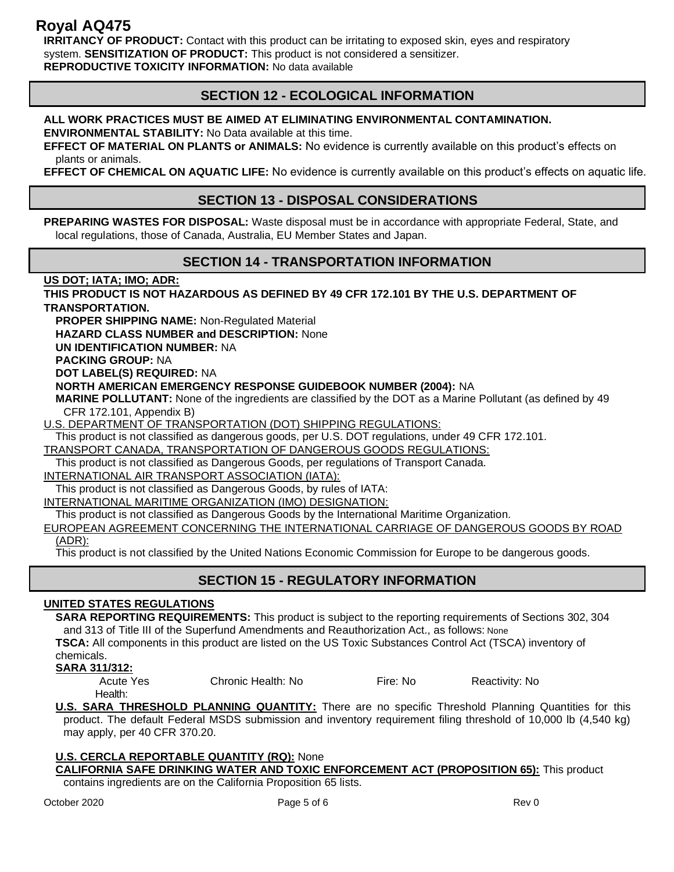## **Royal AQ475**

**IRRITANCY OF PRODUCT:** Contact with this product can be irritating to exposed skin, eyes and respiratory system. **SENSITIZATION OF PRODUCT:** This product is not considered a sensitizer. **REPRODUCTIVE TOXICITY INFORMATION:** No data available

## **SECTION 12 - ECOLOGICAL INFORMATION**

#### **ALL WORK PRACTICES MUST BE AIMED AT ELIMINATING ENVIRONMENTAL CONTAMINATION.**

**ENVIRONMENTAL STABILITY:** No Data available at this time.

**EFFECT OF MATERIAL ON PLANTS or ANIMALS:** No evidence is currently available on this product's effects on plants or animals.

**EFFECT OF CHEMICAL ON AQUATIC LIFE:** No evidence is currently available on this product's effects on aquatic life.

### **SECTION 13 - DISPOSAL CONSIDERATIONS**

**PREPARING WASTES FOR DISPOSAL:** Waste disposal must be in accordance with appropriate Federal, State, and local regulations, those of Canada, Australia, EU Member States and Japan.

### **SECTION 14 - TRANSPORTATION INFORMATION**

**US DOT; IATA; IMO; ADR:**

**THIS PRODUCT IS NOT HAZARDOUS AS DEFINED BY 49 CFR 172.101 BY THE U.S. DEPARTMENT OF TRANSPORTATION.**

**PROPER SHIPPING NAME:** Non-Regulated Material

**HAZARD CLASS NUMBER and DESCRIPTION:** None

**UN IDENTIFICATION NUMBER:** NA

**PACKING GROUP:** NA

**DOT LABEL(S) REQUIRED:** NA

**NORTH AMERICAN EMERGENCY RESPONSE GUIDEBOOK NUMBER (2004):** NA

**MARINE POLLUTANT:** None of the ingredients are classified by the DOT as a Marine Pollutant (as defined by 49 CFR 172.101, Appendix B)

U.S. DEPARTMENT OF TRANSPORTATION (DOT) SHIPPING REGULATIONS:

This product is not classified as dangerous goods, per U.S. DOT regulations, under 49 CFR 172.101. TRANSPORT CANADA, TRANSPORTATION OF DANGEROUS GOODS REGULATIONS:

This product is not classified as Dangerous Goods, per regulations of Transport Canada.

INTERNATIONAL AIR TRANSPORT ASSOCIATION (IATA):

This product is not classified as Dangerous Goods, by rules of IATA:

INTERNATIONAL MARITIME ORGANIZATION (IMO) DESIGNATION:

This product is not classified as Dangerous Goods by the International Maritime Organization.

EUROPEAN AGREEMENT CONCERNING THE INTERNATIONAL CARRIAGE OF DANGEROUS GOODS BY ROAD (ADR):

This product is not classified by the United Nations Economic Commission for Europe to be dangerous goods.

## **SECTION 15 - REGULATORY INFORMATION**

#### **UNITED STATES REGULATIONS**

**SARA REPORTING REQUIREMENTS:** This product is subject to the reporting requirements of Sections 302, 304 and 313 of Title III of the Superfund Amendments and Reauthorization Act., as follows: None

**TSCA:** All components in this product are listed on the US Toxic Substances Control Act (TSCA) inventory of

## chemicals.

**SARA 311/312:**

Acute Yes Chronic Health: No Fire: No Reactivity: No

Health:

**U.S. SARA THRESHOLD PLANNING QUANTITY:** There are no specific Threshold Planning Quantities for this product. The default Federal MSDS submission and inventory requirement filing threshold of 10,000 lb (4,540 kg) may apply, per 40 CFR 370.20.

**U.S. CERCLA REPORTABLE QUANTITY (RQ):** None **CALIFORNIA SAFE DRINKING WATER AND TOXIC ENFORCEMENT ACT (PROPOSITION 65):** This product contains ingredients are on the California Proposition 65 lists.

October 2020 Page 5 of 6 Rev 0